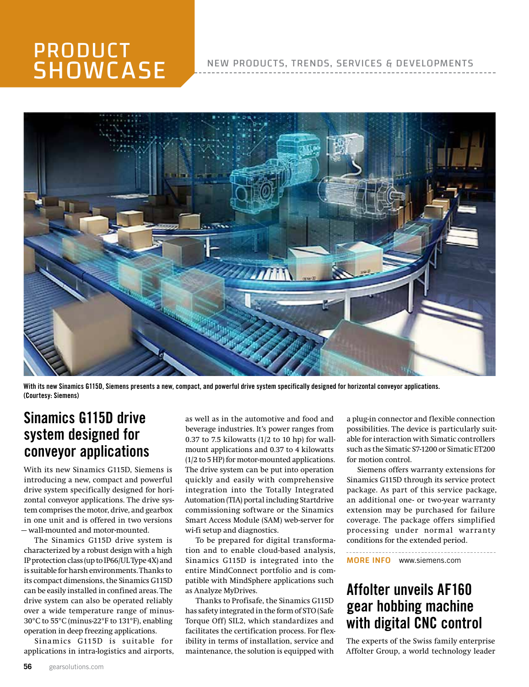# PRODUCT **SHOWCASE**

#### NEW PRODUCTS, TRENDS, SERVICES & DEVELOPMENTS



With its new Sinamics G115D, Siemens presents a new, compact, and powerful drive system specifically designed for horizontal conveyor applications. (Courtesy: Siemens)

### Sinamics G115D drive system designed for conveyor applications

With its new Sinamics G115D, Siemens is introducing a new, compact and powerful drive system specifically designed for horizontal conveyor applications. The drive system comprises the motor, drive, and gearbox in one unit and is offered in two versions — wall-mounted and motor-mounted.

The Sinamics G115D drive system is characterized by a robust design with a high IP protection class (up to IP66/UL Type 4X) and is suitable for harsh environments. Thanks to its compact dimensions, the Sinamics G115D can be easily installed in confined areas. The drive system can also be operated reliably over a wide temperature range of minus-30°C to 55°C (minus-22°F to 131°F), enabling operation in deep freezing applications.

Sinamics G115D is suitable for applications in intra-logistics and airports, as well as in the automotive and food and beverage industries. It's power ranges from 0.37 to 7.5 kilowatts  $(1/2$  to 10 hp) for wallmount applications and 0.37 to 4 kilowatts (1/2 to 5 HP) for motor-mounted applications. The drive system can be put into operation quickly and easily with comprehensive integration into the Totally Integrated Automation (TIA) portal including Startdrive commissioning software or the Sinamics Smart Access Module (SAM) web-server for wi-fi setup and diagnostics.

To be prepared for digital transformation and to enable cloud-based analysis, Sinamics G115D is integrated into the entire MindConnect portfolio and is compatible with MindSphere applications such as Analyze MyDrives.

Thanks to Profisafe, the Sinamics G115D has safety integrated in the form of STO (Safe Torque Off) SIL2, which standardizes and facilitates the certification process. For flexibility in terms of installation, service and maintenance, the solution is equipped with

a plug-in connector and flexible connection possibilities. The device is particularly suitable for interaction with Simatic controllers such as the Simatic S7-1200 or Simatic ET200 for motion control.

Siemens offers warranty extensions for Sinamics G115D through its service protect package. As part of this service package, an additional one- or two-year warranty extension may be purchased for failure coverage. The package offers simplified processing under normal warranty conditions for the extended period.

MORE INFO [www.siemens.com](http://www.siemens.com)

## Affolter unveils AF160 gear hobbing machine with digital CNC control

The experts of the Swiss family enterprise Affolter Group, a world technology leader